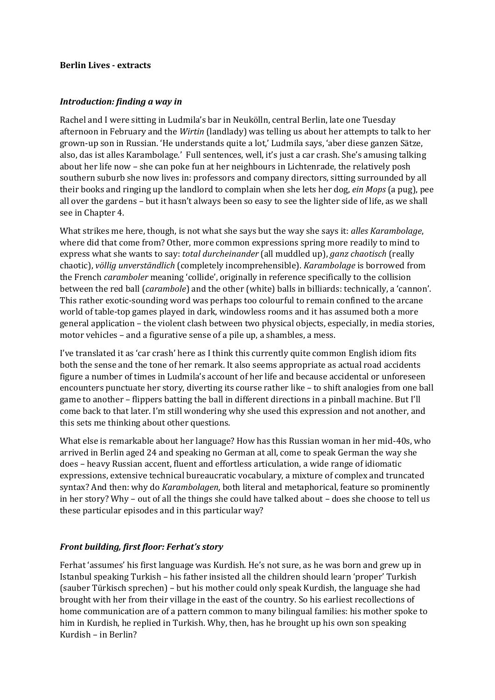## **Berlin Lives - extracts**

## *Introduction: finding a way in*

Rachel and I were sitting in Ludmila's bar in Neukölln, central Berlin, late one Tuesday afternoon in February and the *Wirtin* (landlady) was telling us about her attempts to talk to her grown-up son in Russian. 'He understands quite a lot,' Ludmila says, 'aber diese ganzen Sätze, also, das ist alles Karambolage.' Full sentences, well, it's just a car crash. She's amusing talking about her life now – she can poke fun at her neighbours in Lichtenrade, the relatively posh southern suburb she now lives in: professors and company directors, sitting surrounded by all their books and ringing up the landlord to complain when she lets her dog, *ein Mops* (a pug), pee all over the gardens – but it hasn't always been so easy to see the lighter side of life, as we shall see in Chapter 4.

What strikes me here, though, is not what she says but the way she says it: *alles Karambolage*, where did that come from? Other, more common expressions spring more readily to mind to express what she wants to say: *total durcheinander* (all muddled up), *ganz chaotisch* (really chaotic), *völlig unverständlich* (completely incomprehensible). *Karambolage* is borrowed from the French *caramboler* meaning 'collide', originally in reference specifically to the collision between the red ball (*carambole*) and the other (white) balls in billiards: technically, a 'cannon'. This rather exotic-sounding word was perhaps too colourful to remain confined to the arcane world of table-top games played in dark, windowless rooms and it has assumed both a more general application – the violent clash between two physical objects, especially, in media stories, motor vehicles – and a figurative sense of a pile up, a shambles, a mess.

I've translated it as 'car crash' here as I think this currently quite common English idiom fits both the sense and the tone of her remark. It also seems appropriate as actual road accidents figure a number of times in Ludmila's account of her life and because accidental or unforeseen encounters punctuate her story, diverting its course rather like – to shift analogies from one ball game to another – flippers batting the ball in different directions in a pinball machine. But I'll come back to that later. I'm still wondering why she used this expression and not another, and this sets me thinking about other questions.

What else is remarkable about her language? How has this Russian woman in her mid-40s, who arrived in Berlin aged 24 and speaking no German at all, come to speak German the way she does – heavy Russian accent, fluent and effortless articulation, a wide range of idiomatic expressions, extensive technical bureaucratic vocabulary, a mixture of complex and truncated syntax? And then: why do *Karambolagen*, both literal and metaphorical, feature so prominently in her story? Why – out of all the things she could have talked about – does she choose to tell us these particular episodes and in this particular way?

## *Front building, first floor: Ferhat's story*

Ferhat 'assumes' his first language was Kurdish. He's not sure, as he was born and grew up in Istanbul speaking Turkish – his father insisted all the children should learn 'proper' Turkish (sauber Türkisch sprechen) – but his mother could only speak Kurdish, the language she had brought with her from their village in the east of the country. So his earliest recollections of home communication are of a pattern common to many bilingual families: his mother spoke to him in Kurdish, he replied in Turkish. Why, then, has he brought up his own son speaking Kurdish – in Berlin?